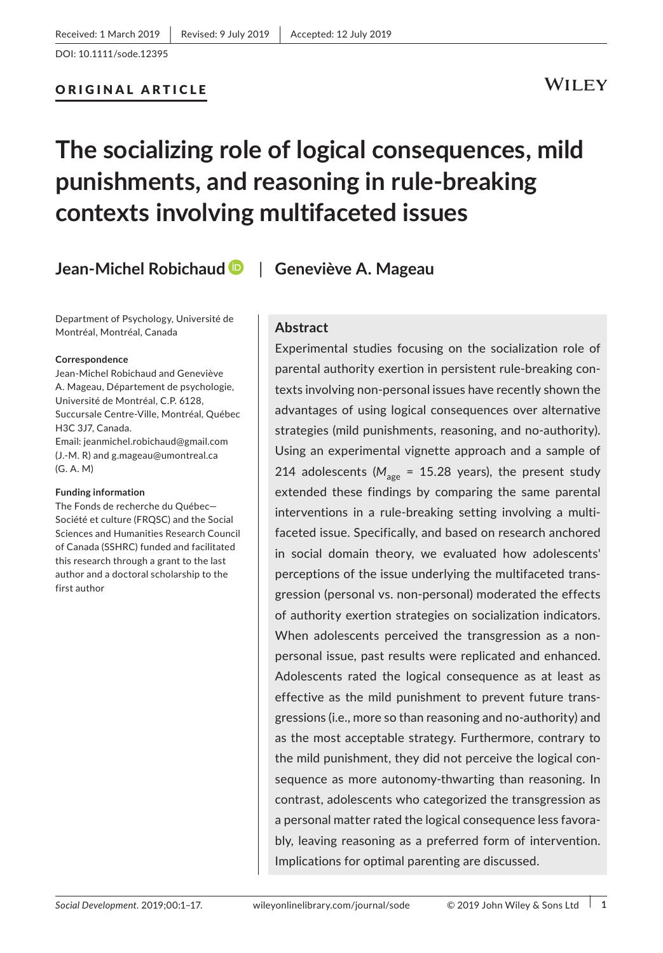# ORIGINAL ARTICLE

# WILEY

# **The socializing role of logical consequences, mild punishments, and reasoning in rule‐breaking contexts involving multifaceted issues**

**Jean‐Michel Robichaud** | **Geneviève A. Mageau**

Department of Psychology, Université de Montréal, Montréal, Canada

#### **Correspondence**

Jean‐Michel Robichaud and Geneviève A. Mageau, Département de psychologie, Université de Montréal, C.P. 6128, Succursale Centre‐Ville, Montréal, Québec H3C 3J7, Canada. Email: [jeanmichel.robichaud@gmail.com](mailto:jeanmichel.robichaud@gmail.com)  (J.‐M. R) and [g.mageau@umontreal.ca](mailto:g.mageau@umontreal.ca) (G. A. M)

#### **Funding information**

The Fonds de recherche du Québec— Société et culture (FRQSC) and the Social Sciences and Humanities Research Council of Canada (SSHRC) funded and facilitated this research through a grant to the last author and a doctoral scholarship to the first author

## **Abstract**

Experimental studies focusing on the socialization role of parental authority exertion in persistent rule‐breaking con‐ texts involving non‐personal issues have recently shown the advantages of using logical consequences over alternative strategies (mild punishments, reasoning, and no‐authority). Using an experimental vignette approach and a sample of 214 adolescents ( $M_{\text{gas}}$  = 15.28 years), the present study extended these findings by comparing the same parental interventions in a rule‐breaking setting involving a multi‐ faceted issue. Specifically, and based on research anchored in social domain theory, we evaluated how adolescents' perceptions of the issue underlying the multifaceted trans‐ gression (personal vs. non‐personal) moderated the effects of authority exertion strategies on socialization indicators. When adolescents perceived the transgression as a nonpersonal issue, past results were replicated and enhanced. Adolescents rated the logical consequence as at least as effective as the mild punishment to prevent future trans‐ gressions (i.e., more so than reasoning and no‐authority) and as the most acceptable strategy. Furthermore, contrary to the mild punishment, they did not perceive the logical con‐ sequence as more autonomy-thwarting than reasoning. In contrast, adolescents who categorized the transgression as a personal matter rated the logical consequence less favora‐ bly, leaving reasoning as a preferred form of intervention. Implications for optimal parenting are discussed.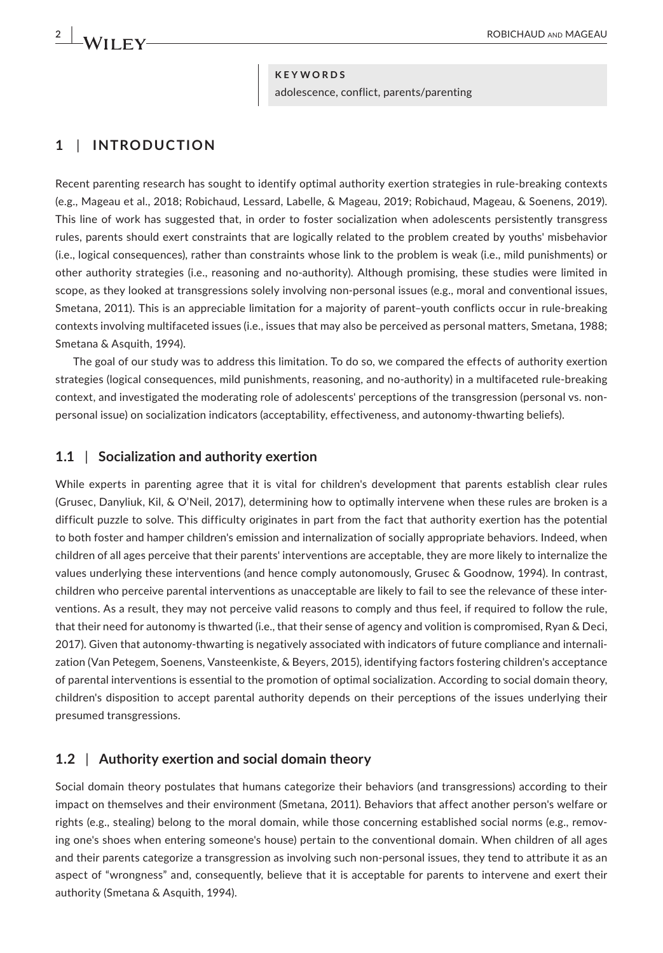#### **KEYWORDS**

adolescence, conflict, parents/parenting

# **1** | **INTRODUCTION**

Recent parenting research has sought to identify optimal authority exertion strategies in rule‐breaking contexts (e.g., Mageau et al., 2018; Robichaud, Lessard, Labelle, & Mageau, 2019; Robichaud, Mageau, & Soenens, 2019). This line of work has suggested that, in order to foster socialization when adolescents persistently transgress rules, parents should exert constraints that are logically related to the problem created by youths' misbehavior (i.e., logical consequences), rather than constraints whose link to the problem is weak (i.e., mild punishments) or other authority strategies (i.e., reasoning and no‐authority). Although promising, these studies were limited in scope, as they looked at transgressions solely involving non-personal issues (e.g., moral and conventional issues, Smetana, 2011). This is an appreciable limitation for a majority of parent–youth conflicts occur in rule‐breaking contexts involving multifaceted issues (i.e., issues that may also be perceived as personal matters, Smetana, 1988; Smetana & Asquith, 1994).

The goal of our study was to address this limitation. To do so, we compared the effects of authority exertion strategies (logical consequences, mild punishments, reasoning, and no‐authority) in a multifaceted rule‐breaking context, and investigated the moderating role of adolescents' perceptions of the transgression (personal vs. nonpersonal issue) on socialization indicators (acceptability, effectiveness, and autonomy‐thwarting beliefs).

## **1.1** | **Socialization and authority exertion**

While experts in parenting agree that it is vital for children's development that parents establish clear rules (Grusec, Danyliuk, Kil, & O'Neil, 2017), determining how to optimally intervene when these rules are broken is a difficult puzzle to solve. This difficulty originates in part from the fact that authority exertion has the potential to both foster and hamper children's emission and internalization of socially appropriate behaviors. Indeed, when children of all ages perceive that their parents' interventions are acceptable, they are more likely to internalize the values underlying these interventions (and hence comply autonomously, Grusec & Goodnow, 1994). In contrast, children who perceive parental interventions as unacceptable are likely to fail to see the relevance of these inter‐ ventions. As a result, they may not perceive valid reasons to comply and thus feel, if required to follow the rule, that their need for autonomy is thwarted (i.e., that their sense of agency and volition is compromised, Ryan & Deci, 2017). Given that autonomy-thwarting is negatively associated with indicators of future compliance and internalization (Van Petegem, Soenens, Vansteenkiste, & Beyers, 2015), identifying factors fostering children's acceptance of parental interventions is essential to the promotion of optimal socialization. According to social domain theory, children's disposition to accept parental authority depends on their perceptions of the issues underlying their presumed transgressions.

## **1.2** | **Authority exertion and social domain theory**

Social domain theory postulates that humans categorize their behaviors (and transgressions) according to their impact on themselves and their environment (Smetana, 2011). Behaviors that affect another person's welfare or rights (e.g., stealing) belong to the moral domain, while those concerning established social norms (e.g., removing one's shoes when entering someone's house) pertain to the conventional domain. When children of all ages and their parents categorize a transgression as involving such non‐personal issues, they tend to attribute it as an aspect of "wrongness" and, consequently, believe that it is acceptable for parents to intervene and exert their authority (Smetana & Asquith, 1994).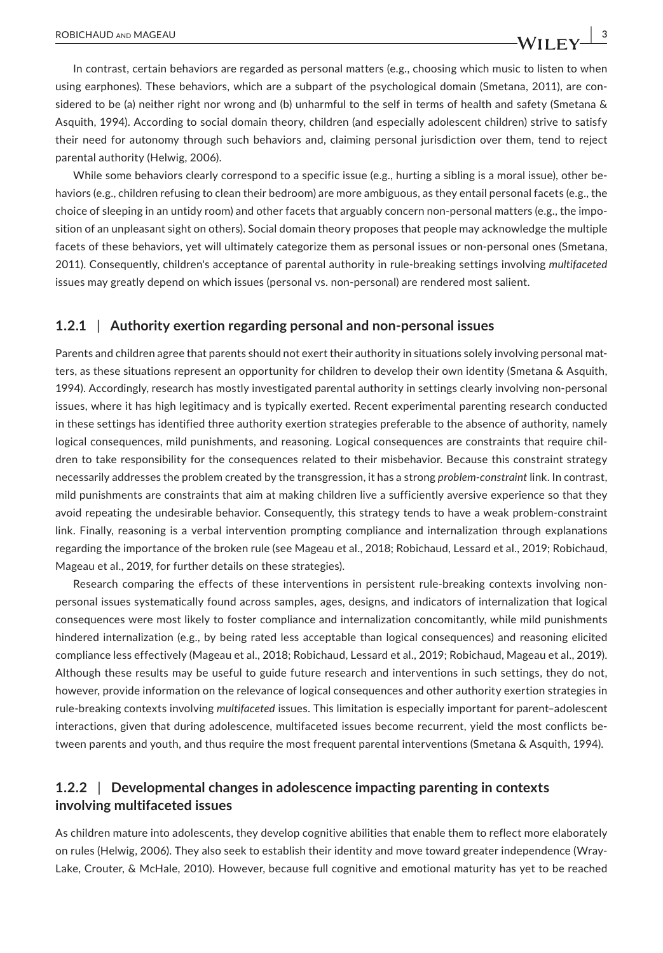In contrast, certain behaviors are regarded as personal matters (e.g., choosing which music to listen to when using earphones). These behaviors, which are a subpart of the psychological domain (Smetana, 2011), are considered to be (a) neither right nor wrong and (b) unharmful to the self in terms of health and safety (Smetana & Asquith, 1994). According to social domain theory, children (and especially adolescent children) strive to satisfy their need for autonomy through such behaviors and, claiming personal jurisdiction over them, tend to reject parental authority (Helwig, 2006).

While some behaviors clearly correspond to a specific issue (e.g., hurting a sibling is a moral issue), other behaviors (e.g., children refusing to clean their bedroom) are more ambiguous, as they entail personal facets (e.g., the choice of sleeping in an untidy room) and other facets that arguably concern non-personal matters (e.g., the imposition of an unpleasant sight on others). Social domain theory proposes that people may acknowledge the multiple facets of these behaviors, yet will ultimately categorize them as personal issues or non-personal ones (Smetana, 2011). Consequently, children's acceptance of parental authority in rule‐breaking settings involving *multifaceted* issues may greatly depend on which issues (personal vs. non‐personal) are rendered most salient.

#### **1.2.1** | **Authority exertion regarding personal and non‐personal issues**

Parents and children agree that parents should not exert their authority in situations solely involving personal matters, as these situations represent an opportunity for children to develop their own identity (Smetana & Asquith, 1994). Accordingly, research has mostly investigated parental authority in settings clearly involving non‐personal issues, where it has high legitimacy and is typically exerted. Recent experimental parenting research conducted in these settings has identified three authority exertion strategies preferable to the absence of authority, namely logical consequences, mild punishments, and reasoning. Logical consequences are constraints that require children to take responsibility for the consequences related to their misbehavior. Because this constraint strategy necessarily addresses the problem created by the transgression, it has a strong *problem‐constraint* link. In contrast, mild punishments are constraints that aim at making children live a sufficiently aversive experience so that they avoid repeating the undesirable behavior. Consequently, this strategy tends to have a weak problem‐constraint link. Finally, reasoning is a verbal intervention prompting compliance and internalization through explanations regarding the importance of the broken rule (see Mageau et al., 2018; Robichaud, Lessard et al., 2019; Robichaud, Mageau et al., 2019, for further details on these strategies).

Research comparing the effects of these interventions in persistent rule-breaking contexts involving nonpersonal issues systematically found across samples, ages, designs, and indicators of internalization that logical consequences were most likely to foster compliance and internalization concomitantly, while mild punishments hindered internalization (e.g., by being rated less acceptable than logical consequences) and reasoning elicited compliance less effectively (Mageau et al., 2018; Robichaud, Lessard et al., 2019; Robichaud, Mageau et al., 2019). Although these results may be useful to guide future research and interventions in such settings, they do not, however, provide information on the relevance of logical consequences and other authority exertion strategies in rule‐breaking contexts involving *multifaceted* issues. This limitation is especially important for parent–adolescent interactions, given that during adolescence, multifaceted issues become recurrent, yield the most conflicts be‐ tween parents and youth, and thus require the most frequent parental interventions (Smetana & Asquith, 1994).

## **1.2.2** | **Developmental changes in adolescence impacting parenting in contexts involving multifaceted issues**

As children mature into adolescents, they develop cognitive abilities that enable them to reflect more elaborately on rules (Helwig, 2006). They also seek to establish their identity and move toward greater independence (Wray‐ Lake, Crouter, & McHale, 2010). However, because full cognitive and emotional maturity has yet to be reached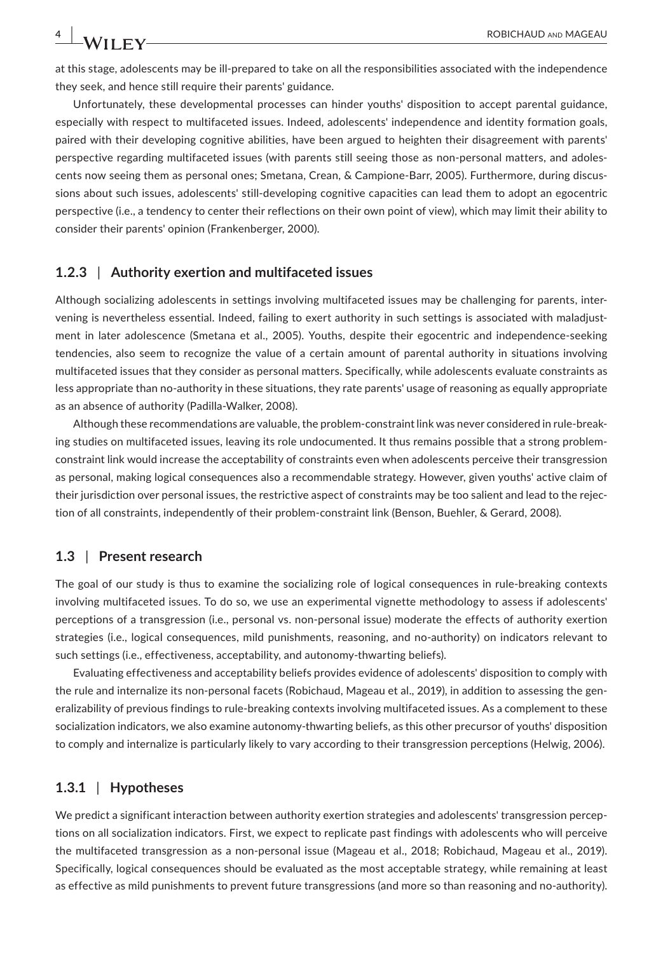at this stage, adolescents may be ill‐prepared to take on all the responsibilities associated with the independence they seek, and hence still require their parents' guidance.

Unfortunately, these developmental processes can hinder youths' disposition to accept parental guidance, especially with respect to multifaceted issues. Indeed, adolescents' independence and identity formation goals, paired with their developing cognitive abilities, have been argued to heighten their disagreement with parents' perspective regarding multifaceted issues (with parents still seeing those as non-personal matters, and adolescents now seeing them as personal ones; Smetana, Crean, & Campione‐Barr, 2005). Furthermore, during discus‐ sions about such issues, adolescents' still‐developing cognitive capacities can lead them to adopt an egocentric perspective (i.e., a tendency to center their reflections on their own point of view), which may limit their ability to consider their parents' opinion (Frankenberger, 2000).

#### **1.2.3** | **Authority exertion and multifaceted issues**

Although socializing adolescents in settings involving multifaceted issues may be challenging for parents, inter‐ vening is nevertheless essential. Indeed, failing to exert authority in such settings is associated with maladjustment in later adolescence (Smetana et al., 2005). Youths, despite their egocentric and independence‐seeking tendencies, also seem to recognize the value of a certain amount of parental authority in situations involving multifaceted issues that they consider as personal matters. Specifically, while adolescents evaluate constraints as less appropriate than no‐authority in these situations, they rate parents' usage of reasoning as equally appropriate as an absence of authority (Padilla‐Walker, 2008).

Although these recommendations are valuable, the problem‐constraint link was never considered in rule‐break‐ ing studies on multifaceted issues, leaving its role undocumented. It thus remains possible that a strong problemconstraint link would increase the acceptability of constraints even when adolescents perceive their transgression as personal, making logical consequences also a recommendable strategy. However, given youths' active claim of their jurisdiction over personal issues, the restrictive aspect of constraints may be too salient and lead to the rejection of all constraints, independently of their problem-constraint link (Benson, Buehler, & Gerard, 2008).

## **1.3** | **Present research**

The goal of our study is thus to examine the socializing role of logical consequences in rule‐breaking contexts involving multifaceted issues. To do so, we use an experimental vignette methodology to assess if adolescents' perceptions of a transgression (i.e., personal vs. non-personal issue) moderate the effects of authority exertion strategies (i.e., logical consequences, mild punishments, reasoning, and no‐authority) on indicators relevant to such settings (i.e., effectiveness, acceptability, and autonomy-thwarting beliefs).

Evaluating effectiveness and acceptability beliefs provides evidence of adolescents' disposition to comply with the rule and internalize its non-personal facets (Robichaud, Mageau et al., 2019), in addition to assessing the generalizability of previous findings to rule‐breaking contexts involving multifaceted issues. As a complement to these socialization indicators, we also examine autonomy-thwarting beliefs, as this other precursor of youths' disposition to comply and internalize is particularly likely to vary according to their transgression perceptions (Helwig, 2006).

#### **1.3.1** | **Hypotheses**

We predict a significant interaction between authority exertion strategies and adolescents' transgression perceptions on all socialization indicators. First, we expect to replicate past findings with adolescents who will perceive the multifaceted transgression as a non‐personal issue (Mageau et al., 2018; Robichaud, Mageau et al., 2019). Specifically, logical consequences should be evaluated as the most acceptable strategy, while remaining at least as effective as mild punishments to prevent future transgressions (and more so than reasoning and no‐authority).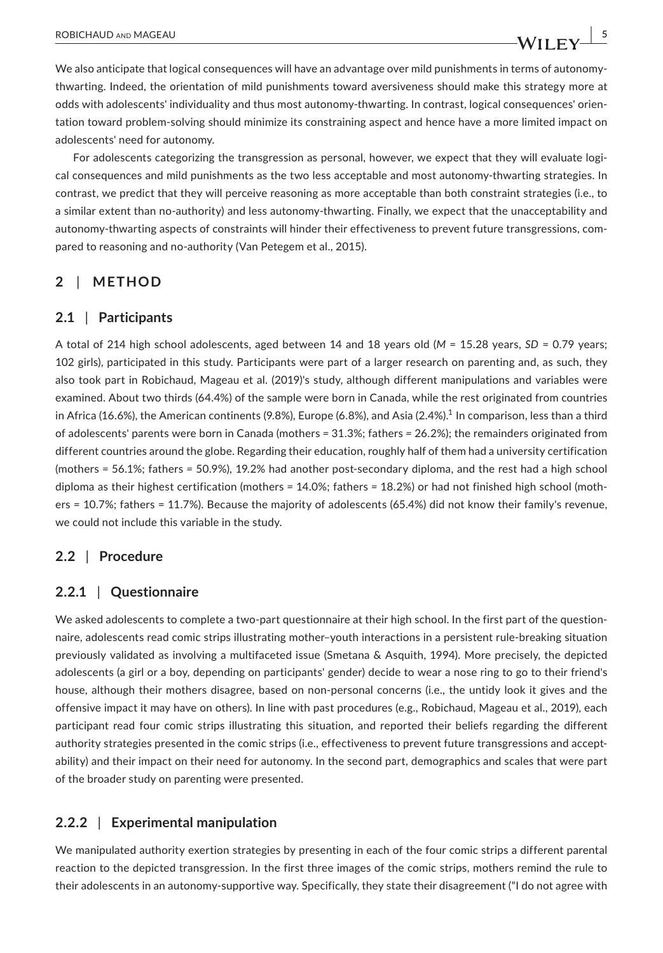We also anticipate that logical consequences will have an advantage over mild punishments in terms of autonomythwarting. Indeed, the orientation of mild punishments toward aversiveness should make this strategy more at odds with adolescents' individuality and thus most autonomy‐thwarting. In contrast, logical consequences' orien‐ tation toward problem‐solving should minimize its constraining aspect and hence have a more limited impact on adolescents' need for autonomy.

For adolescents categorizing the transgression as personal, however, we expect that they will evaluate logical consequences and mild punishments as the two less acceptable and most autonomy-thwarting strategies. In contrast, we predict that they will perceive reasoning as more acceptable than both constraint strategies (i.e., to a similar extent than no‐authority) and less autonomy‐thwarting. Finally, we expect that the unacceptability and autonomy-thwarting aspects of constraints will hinder their effectiveness to prevent future transgressions, compared to reasoning and no‐authority (Van Petegem et al., 2015).

# **2** | **METHOD**

## **2.1** | **Participants**

A total of 214 high school adolescents, aged between 14 and 18 years old (*M* = 15.28 years, *SD* = 0.79 years; 102 girls), participated in this study. Participants were part of a larger research on parenting and, as such, they also took part in Robichaud, Mageau et al. (2019)'s study, although different manipulations and variables were examined. About two thirds (64.4%) of the sample were born in Canada, while the rest originated from countries in Africa (16.6%), the American continents (9.8%), Europe (6.8%), and Asia (2.4%).<sup>1</sup> In comparison, less than a third of adolescents' parents were born in Canada (mothers *=* 31.3%; fathers *=* 26.2%); the remainders originated from different countries around the globe. Regarding their education, roughly half of them had a university certification (mothers *=* 56.1%; fathers *=* 50.9%), 19.2% had another post‐secondary diploma, and the rest had a high school diploma as their highest certification (mothers *=* 14.0%; fathers *=* 18.2%) or had not finished high school (moth‐ ers = 10.7%; fathers = 11.7%). Because the majority of adolescents (65.4%) did not know their family's revenue, we could not include this variable in the study.

# **2.2** | **Procedure**

## **2.2.1** | **Questionnaire**

We asked adolescents to complete a two-part questionnaire at their high school. In the first part of the questionnaire, adolescents read comic strips illustrating mother–youth interactions in a persistent rule‐breaking situation previously validated as involving a multifaceted issue (Smetana & Asquith, 1994). More precisely, the depicted adolescents (a girl or a boy, depending on participants' gender) decide to wear a nose ring to go to their friend's house, although their mothers disagree, based on non‐personal concerns (i.e., the untidy look it gives and the offensive impact it may have on others). In line with past procedures (e.g., Robichaud, Mageau et al., 2019), each participant read four comic strips illustrating this situation, and reported their beliefs regarding the different authority strategies presented in the comic strips (i.e., effectiveness to prevent future transgressions and acceptability) and their impact on their need for autonomy. In the second part, demographics and scales that were part of the broader study on parenting were presented.

# **2.2.2** | **Experimental manipulation**

We manipulated authority exertion strategies by presenting in each of the four comic strips a different parental reaction to the depicted transgression. In the first three images of the comic strips, mothers remind the rule to their adolescents in an autonomy‐supportive way. Specifically, they state their disagreement ("I do not agree with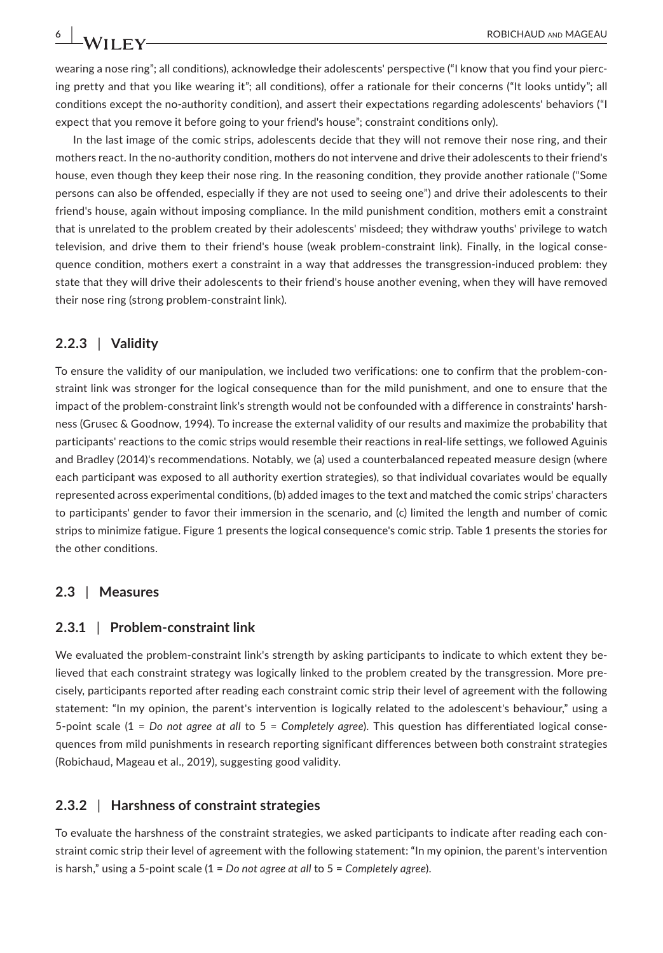wearing a nose ring"; all conditions), acknowledge their adolescents' perspective ("I know that you find your piercing pretty and that you like wearing it"; all conditions), offer a rationale for their concerns ("It looks untidy"; all conditions except the no‐authority condition), and assert their expectations regarding adolescents' behaviors ("I expect that you remove it before going to your friend's house"; constraint conditions only).

In the last image of the comic strips, adolescents decide that they will not remove their nose ring, and their mothers react. In the no‐authority condition, mothers do not intervene and drive their adolescents to their friend's house, even though they keep their nose ring. In the reasoning condition, they provide another rationale ("Some persons can also be offended, especially if they are not used to seeing one") and drive their adolescents to their friend's house, again without imposing compliance. In the mild punishment condition, mothers emit a constraint that is unrelated to the problem created by their adolescents' misdeed; they withdraw youths' privilege to watch television, and drive them to their friend's house (weak problem‐constraint link). Finally, in the logical conse‐ quence condition, mothers exert a constraint in a way that addresses the transgression-induced problem: they state that they will drive their adolescents to their friend's house another evening, when they will have removed their nose ring (strong problem‐constraint link).

#### **2.2.3** | **Validity**

To ensure the validity of our manipulation, we included two verifications: one to confirm that the problem‐con‐ straint link was stronger for the logical consequence than for the mild punishment, and one to ensure that the impact of the problem-constraint link's strength would not be confounded with a difference in constraints' harshness (Grusec & Goodnow, 1994). To increase the external validity of our results and maximize the probability that participants' reactions to the comic strips would resemble their reactions in real‐life settings, we followed Aguinis and Bradley (2014)'s recommendations. Notably, we (a) used a counterbalanced repeated measure design (where each participant was exposed to all authority exertion strategies), so that individual covariates would be equally represented across experimental conditions, (b) added images to the text and matched the comic strips' characters to participants' gender to favor their immersion in the scenario, and (c) limited the length and number of comic strips to minimize fatigue. Figure 1 presents the logical consequence's comic strip. Table 1 presents the stories for the other conditions.

#### **2.3** | **Measures**

#### **2.3.1** | **Problem‐constraint link**

We evaluated the problem-constraint link's strength by asking participants to indicate to which extent they believed that each constraint strategy was logically linked to the problem created by the transgression. More pre‐ cisely, participants reported after reading each constraint comic strip their level of agreement with the following statement: "In my opinion, the parent's intervention is logically related to the adolescent's behaviour," using a 5‐point scale (1 = *Do not agree at all* to 5 = *Completely agree*). This question has differentiated logical conse‐ quences from mild punishments in research reporting significant differences between both constraint strategies (Robichaud, Mageau et al., 2019), suggesting good validity.

#### **2.3.2** | **Harshness of constraint strategies**

To evaluate the harshness of the constraint strategies, we asked participants to indicate after reading each con‐ straint comic strip their level of agreement with the following statement: "In my opinion, the parent's intervention is harsh," using a 5‐point scale (1 = *Do not agree at all* to 5 = *Completely agree*).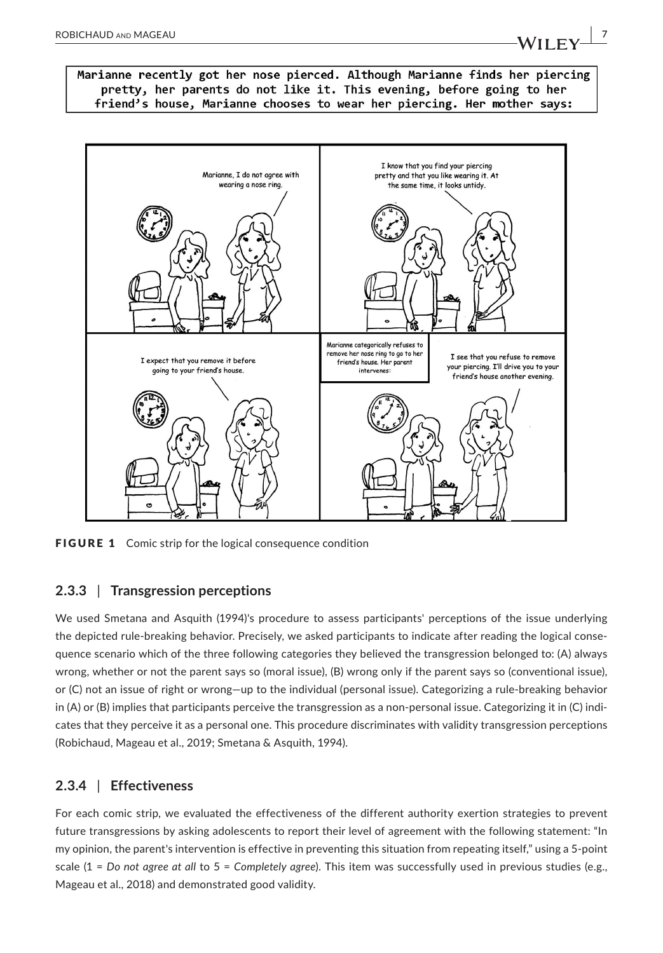

FIGURE 1 Comic strip for the logical consequence condition

## **2.3.3** | **Transgression perceptions**

We used Smetana and Asquith (1994)'s procedure to assess participants' perceptions of the issue underlying the depicted rule-breaking behavior. Precisely, we asked participants to indicate after reading the logical consequence scenario which of the three following categories they believed the transgression belonged to: (A) always wrong, whether or not the parent says so (moral issue), (B) wrong only if the parent says so (conventional issue), or (C) not an issue of right or wrong—up to the individual (personal issue). Categorizing a rule‐breaking behavior in (A) or (B) implies that participants perceive the transgression as a non-personal issue. Categorizing it in (C) indicates that they perceive it as a personal one. This procedure discriminates with validity transgression perceptions (Robichaud, Mageau et al., 2019; Smetana & Asquith, 1994).

## **2.3.4** | **Effectiveness**

For each comic strip, we evaluated the effectiveness of the different authority exertion strategies to prevent future transgressions by asking adolescents to report their level of agreement with the following statement: "In my opinion, the parent's intervention is effective in preventing this situation from repeating itself," using a 5‐point scale (1 = *Do not agree at all* to 5 = *Completely agree*). This item was successfully used in previous studies (e.g., Mageau et al., 2018) and demonstrated good validity.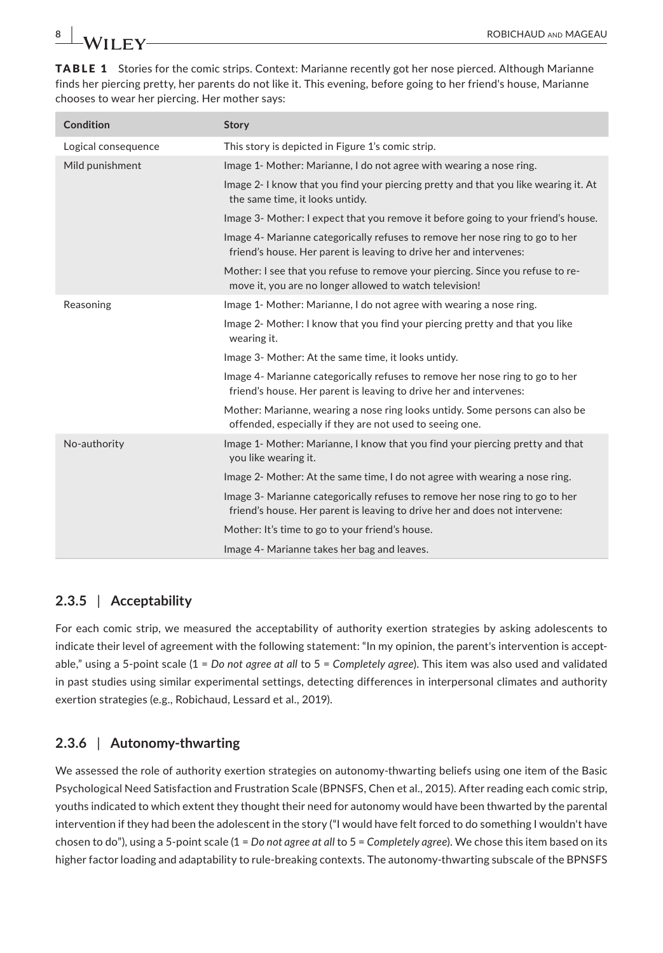TABLE 1 Stories for the comic strips. Context: Marianne recently got her nose pierced. Although Marianne finds her piercing pretty, her parents do not like it. This evening, before going to her friend's house, Marianne chooses to wear her piercing. Her mother says:

| Condition           | <b>Story</b>                                                                                                                                               |  |  |
|---------------------|------------------------------------------------------------------------------------------------------------------------------------------------------------|--|--|
| Logical consequence | This story is depicted in Figure 1's comic strip.                                                                                                          |  |  |
| Mild punishment     | Image 1- Mother: Marianne, I do not agree with wearing a nose ring.                                                                                        |  |  |
|                     | Image 2- I know that you find your piercing pretty and that you like wearing it. At<br>the same time, it looks untidy.                                     |  |  |
|                     | Image 3- Mother: I expect that you remove it before going to your friend's house.                                                                          |  |  |
|                     | Image 4- Marianne categorically refuses to remove her nose ring to go to her<br>friend's house. Her parent is leaving to drive her and intervenes:         |  |  |
|                     | Mother: I see that you refuse to remove your piercing. Since you refuse to re-<br>move it, you are no longer allowed to watch television!                  |  |  |
| Reasoning           | Image 1- Mother: Marianne, I do not agree with wearing a nose ring.                                                                                        |  |  |
|                     | Image 2- Mother: I know that you find your piercing pretty and that you like<br>wearing it.                                                                |  |  |
|                     | Image 3- Mother: At the same time, it looks untidy.                                                                                                        |  |  |
|                     | Image 4- Marianne categorically refuses to remove her nose ring to go to her<br>friend's house. Her parent is leaving to drive her and intervenes:         |  |  |
|                     | Mother: Marianne, wearing a nose ring looks untidy. Some persons can also be<br>offended, especially if they are not used to seeing one.                   |  |  |
| No-authority        | Image 1- Mother: Marianne, I know that you find your piercing pretty and that<br>you like wearing it.                                                      |  |  |
|                     | Image 2- Mother: At the same time, I do not agree with wearing a nose ring.                                                                                |  |  |
|                     | Image 3- Marianne categorically refuses to remove her nose ring to go to her<br>friend's house. Her parent is leaving to drive her and does not intervene: |  |  |
|                     | Mother: It's time to go to your friend's house.                                                                                                            |  |  |
|                     | Image 4- Marianne takes her bag and leaves.                                                                                                                |  |  |

# **2.3.5** | **Acceptability**

For each comic strip, we measured the acceptability of authority exertion strategies by asking adolescents to indicate their level of agreement with the following statement: "In my opinion, the parent's intervention is acceptable," using a 5‐point scale (1 = *Do not agree at all* to 5 = *Completely agree*). This item was also used and validated in past studies using similar experimental settings, detecting differences in interpersonal climates and authority exertion strategies (e.g., Robichaud, Lessard et al., 2019).

# **2.3.6** | **Autonomy‐thwarting**

We assessed the role of authority exertion strategies on autonomy-thwarting beliefs using one item of the Basic Psychological Need Satisfaction and Frustration Scale (BPNSFS, Chen et al., 2015). After reading each comic strip, youths indicated to which extent they thought their need for autonomy would have been thwarted by the parental intervention if they had been the adolescent in the story ("I would have felt forced to do something I wouldn't have chosen to do"), using a 5‐point scale (1 = *Do not agree at all* to 5 = *Completely agree*). We chose this item based on its higher factor loading and adaptability to rule-breaking contexts. The autonomy-thwarting subscale of the BPNSFS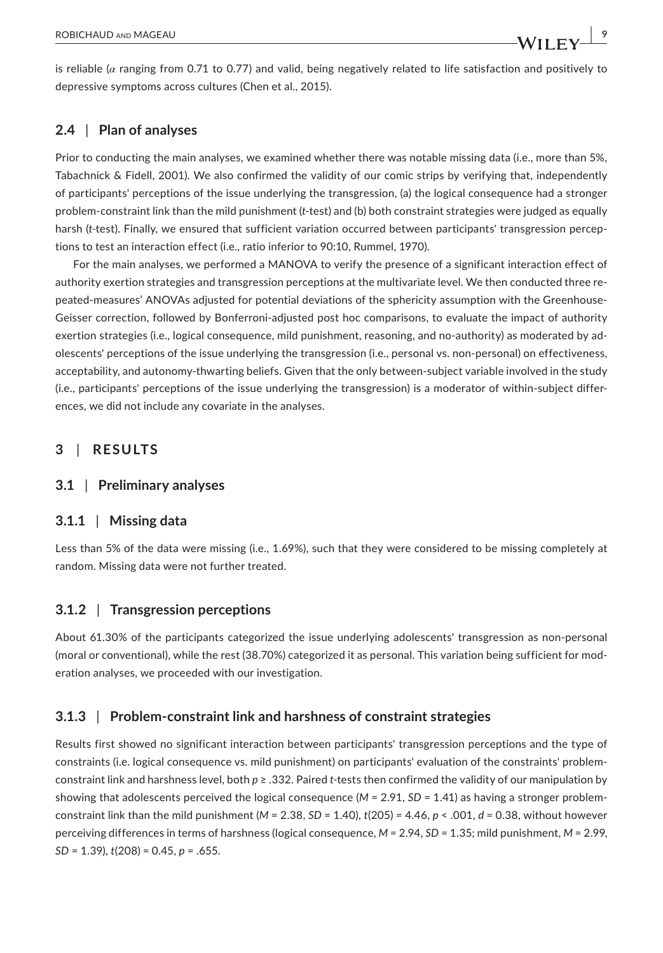is reliable (*α* ranging from 0.71 to 0.77) and valid, being negatively related to life satisfaction and positively to depressive symptoms across cultures (Chen et al., 2015).

## **2.4** | **Plan of analyses**

Prior to conducting the main analyses, we examined whether there was notable missing data (i.e., more than 5%, Tabachnick & Fidell, 2001). We also confirmed the validity of our comic strips by verifying that, independently of participants' perceptions of the issue underlying the transgression, (a) the logical consequence had a stronger problem‐constraint link than the mild punishment (*t*‐test) and (b) both constraint strategies were judged as equally harsh (*t*-test). Finally, we ensured that sufficient variation occurred between participants' transgression perceptions to test an interaction effect (i.e., ratio inferior to 90:10, Rummel, 1970).

For the main analyses, we performed a MANOVA to verify the presence of a significant interaction effect of authority exertion strategies and transgression perceptions at the multivariate level. We then conducted three re‐ peated-measures' ANOVAs adjusted for potential deviations of the sphericity assumption with the Greenhouse-Geisser correction, followed by Bonferroni‐adjusted post hoc comparisons, to evaluate the impact of authority exertion strategies (i.e., logical consequence, mild punishment, reasoning, and no-authority) as moderated by adolescents' perceptions of the issue underlying the transgression (i.e., personal vs. non‐personal) on effectiveness, acceptability, and autonomy-thwarting beliefs. Given that the only between-subject variable involved in the study (i.e., participants' perceptions of the issue underlying the transgression) is a moderator of within‐subject differ‐ ences, we did not include any covariate in the analyses.

## **3** | **RESULTS**

## **3.1** | **Preliminary analyses**

## **3.1.1** | **Missing data**

Less than 5% of the data were missing (i.e., 1.69%), such that they were considered to be missing completely at random. Missing data were not further treated.

## **3.1.2** | **Transgression perceptions**

About 61.30% of the participants categorized the issue underlying adolescents' transgression as non‐personal (moral or conventional), while the rest (38.70%) categorized it as personal. This variation being sufficient for mod‐ eration analyses, we proceeded with our investigation.

## **3.1.3** | **Problem‐constraint link and harshness of constraint strategies**

Results first showed no significant interaction between participants' transgression perceptions and the type of constraints (i.e. logical consequence vs. mild punishment) on participants' evaluation of the constraints' problem‐ constraint link and harshness level, both *p* ≥ .332. Paired *t*‐tests then confirmed the validity of our manipulation by showing that adolescents perceived the logical consequence (*M* = 2.91, *SD* = 1.41) as having a stronger problem‐ constraint link than the mild punishment  $(M = 2.38, SD = 1.40)$ ,  $t(205) = 4.46, p < .001, d = 0.38$ , without however perceiving differences in terms of harshness (logical consequence, *M =* 2.94, *SD =* 1.35; mild punishment, *M* = 2.99, *SD* = 1.39), *t*(208) = 0.45, *p =* .655.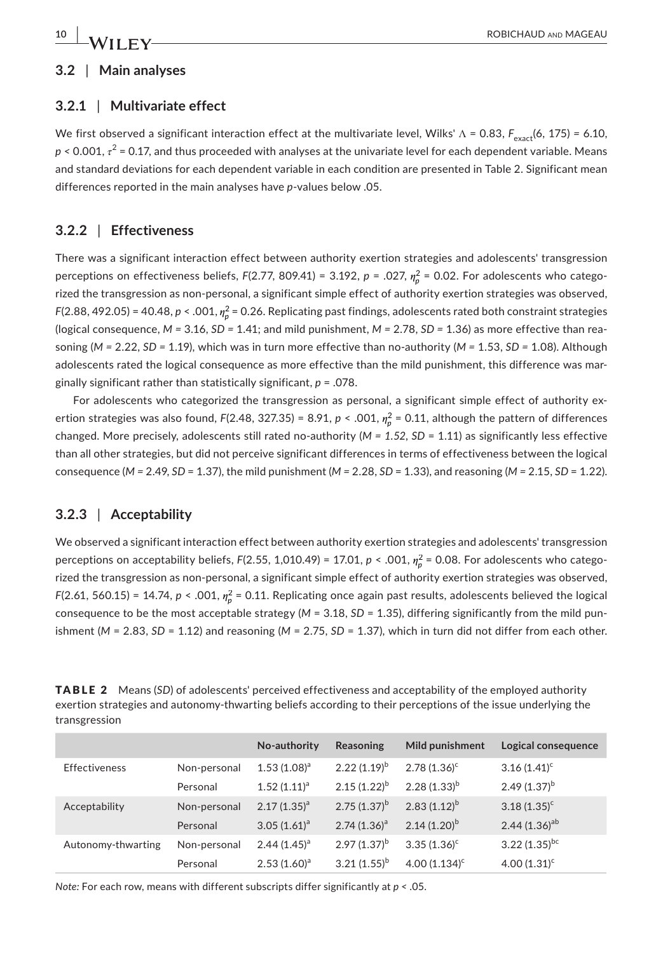## **3.2** | **Main analyses**

## **3.2.1** | **Multivariate effect**

We first observed a significant interaction effect at the multivariate level, Wilks' Λ = 0.83,  $F_{exact}$ (6, 175) = 6.10, *p <* 0.001, *τ* <sup>2</sup> = 0.17, and thus proceeded with analyses at the univariate level for each dependent variable. Means and standard deviations for each dependent variable in each condition are presented in Table 2. Significant mean differences reported in the main analyses have *p*‐values below .05.

# **3.2.2** | **Effectiveness**

There was a significant interaction effect between authority exertion strategies and adolescents' transgression perceptions on effectiveness beliefs, *F*(2.77, 809.41) = 3.192, *p* = .027,  $\eta^2_\rho$  = 0.02. For adolescents who categorized the transgression as non‐personal, a significant simple effect of authority exertion strategies was observed, *F*(2.88, 492.05) = 40.48, *p* < .001,  $\eta_p^2$  = 0.26. Replicating past findings, adolescents rated both constraint strategies (logical consequence, *M =* 3.16, *SD =* 1.41; and mild punishment, *M =* 2.78, *SD =* 1.36) as more effective than rea‐ soning (*M =* 2.22, *SD =* 1.19), which was in turn more effective than no‐authority (*M =* 1.53, *SD =* 1.08). Although adolescents rated the logical consequence as more effective than the mild punishment, this difference was marginally significant rather than statistically significant, *p* = .078.

For adolescents who categorized the transgression as personal, a significant simple effect of authority exertion strategies was also found, *F*(2.48, 327.35) = 8.91, *p* < .001,  $\eta_p^2$  = 0.11, although the pattern of differences changed. More precisely, adolescents still rated no‐authority (*M = 1.52*, *SD* = 1.11) as significantly less effective than all other strategies, but did not perceive significant differences in terms of effectiveness between the logical consequence (*M =* 2.49, *SD* = 1.37), the mild punishment (*M =* 2.28, *SD* = 1.33), and reasoning (*M =* 2.15, *SD* = 1.22).

# **3.2.3** | **Acceptability**

We observed a significant interaction effect between authority exertion strategies and adolescents' transgression perceptions on acceptability beliefs, *F*(2.55, 1,010.49) = 17.01, *p* < .001,  $\eta^2_\rho$  = 0.08. For adolescents who categorized the transgression as non‐personal, a significant simple effect of authority exertion strategies was observed, *F*(2.61, 560.15) = 14.74, *p* < .001,  $\eta_p^2$  = 0.11. Replicating once again past results, adolescents believed the logical consequence to be the most acceptable strategy ( $M = 3.18$ ,  $SD = 1.35$ ), differing significantly from the mild punishment ( $M = 2.83$ ,  $SD = 1.12$ ) and reasoning ( $M = 2.75$ ,  $SD = 1.37$ ), which in turn did not differ from each other.

|               | <b>TABLE 2</b> Means (SD) of adolescents' perceived effectiveness and acceptability of the employed authority |
|---------------|---------------------------------------------------------------------------------------------------------------|
|               | exertion strategies and autonomy-thwarting beliefs according to their perceptions of the issue underlying the |
| transgression |                                                                                                               |

|                      |              | No-authority   | Reasoning         | Mild punishment  | Logical consequence         |
|----------------------|--------------|----------------|-------------------|------------------|-----------------------------|
| <b>Effectiveness</b> | Non-personal | $1.53(1.08)^a$ | 2.22 $(1.19)^{b}$ | $2.78(1.36)^c$   | $3.16(1.41)^c$              |
|                      | Personal     | $1.52(1.11)^a$ | $2.15(1.22)^{b}$  | $2.28(1.33)^{b}$ | 2.49 $(1.37)^{b}$           |
| Acceptability        | Non-personal | $2.17(1.35)^a$ | $2.75(1.37)^{b}$  | $2.83(1.12)^{b}$ | $3.18(1.35)^c$              |
|                      | Personal     | $3.05(1.61)^a$ | $2.74(1.36)^a$    | $2.14(1.20)^{b}$ | 2.44 $(1.36)$ <sup>ab</sup> |
| Autonomy-thwarting   | Non-personal | $2.44(1.45)^a$ | $2.97(1.37)^{b}$  | $3.35(1.36)^c$   | 3.22 $(1.35)^{bc}$          |
|                      | Personal     | $2.53(1.60)^a$ | $3.21(1.55)^{b}$  | 4.00 $(1.134)^c$ | 4.00 $(1.31)^c$             |

*Note:* For each row, means with different subscripts differ significantly at *p <* .05.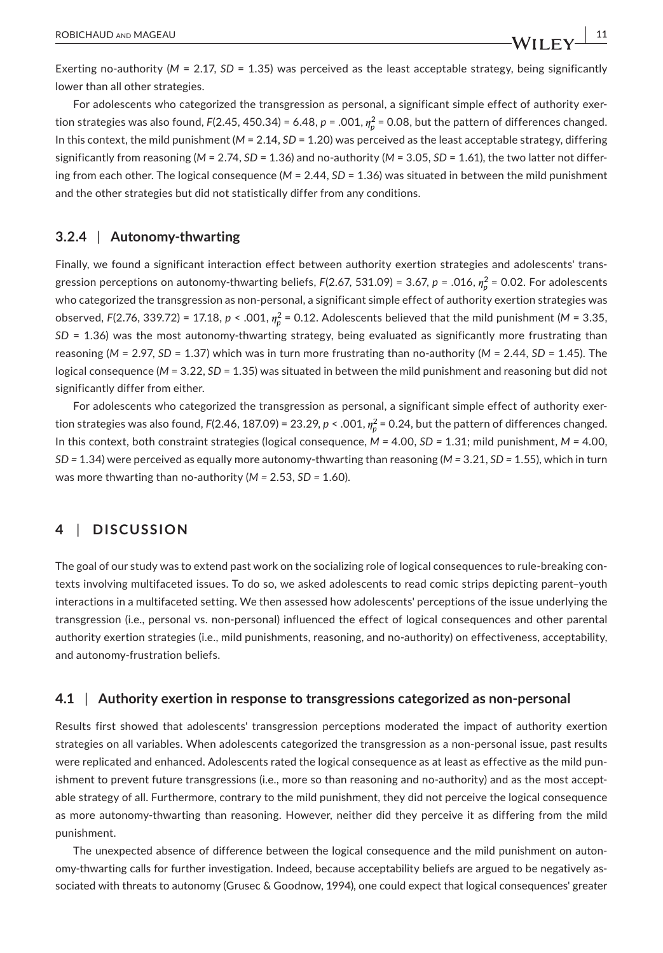Exerting no-authority (*M* = 2.17, *SD* = 1.35) was perceived as the least acceptable strategy, being significantly lower than all other strategies.

For adolescents who categorized the transgression as personal, a significant simple effect of authority exertion strategies was also found, *F*(2.45, 450.34) = 6.48, *p* = .001,  $\eta^2_\rho$  = 0.08, but the pattern of differences changed. In this context, the mild punishment ( $M = 2.14$ ,  $SD = 1.20$ ) was perceived as the least acceptable strategy, differing significantly from reasoning (*M* = 2.74, *SD* = 1.36) and no‐authority (*M* = 3.05, *SD* = 1.61), the two latter not differ‐ ing from each other. The logical consequence (*M* = 2.44, *SD* = 1.36) was situated in between the mild punishment and the other strategies but did not statistically differ from any conditions.

## **3.2.4** | **Autonomy‐thwarting**

Finally, we found a significant interaction effect between authority exertion strategies and adolescents' trans‐ gression perceptions on autonomy‐thwarting beliefs, *F*(2.67, 531.09) = 3.67, *p* = .016, *𝜂*<sup>2</sup> *<sup>p</sup>* = 0.02. For adolescents who categorized the transgression as non‐personal, a significant simple effect of authority exertion strategies was observed,  $F(2.76, 339.72) = 17.18$ ,  $p < .001$ ,  $\eta_p^2 = 0.12$ . Adolescents believed that the mild punishment (M = 3.35, *SD* = 1.36) was the most autonomy‐thwarting strategy, being evaluated as significantly more frustrating than reasoning (*M* = 2.97, *SD* = 1.37) which was in turn more frustrating than no-authority (*M* = 2.44, *SD* = 1.45). The logical consequence (*M* = 3.22, *SD* = 1.35) was situated in between the mild punishment and reasoning but did not significantly differ from either.

For adolescents who categorized the transgression as personal, a significant simple effect of authority exertion strategies was also found, *F*(2.46, 187.09) = 23.29, *p* < .001,  $\eta_p^2$  = 0.24, but the pattern of differences changed. In this context, both constraint strategies (logical consequence, *M =* 4.00, *SD =* 1.31; mild punishment, *M =* 4.00, *SD =* 1.34) were perceived as equally more autonomy‐thwarting than reasoning (*M =* 3.21, *SD =* 1.55), which in turn was more thwarting than no‐authority (*M =* 2.53, *SD =* 1.60).

## **4** | **DISCUSSION**

The goal of our study was to extend past work on the socializing role of logical consequences to rule‐breaking con‐ texts involving multifaceted issues. To do so, we asked adolescents to read comic strips depicting parent–youth interactions in a multifaceted setting. We then assessed how adolescents' perceptions of the issue underlying the transgression (i.e., personal vs. non‐personal) influenced the effect of logical consequences and other parental authority exertion strategies (i.e., mild punishments, reasoning, and no-authority) on effectiveness, acceptability, and autonomy‐frustration beliefs.

#### **4.1** | **Authority exertion in response to transgressions categorized as non‐personal**

Results first showed that adolescents' transgression perceptions moderated the impact of authority exertion strategies on all variables. When adolescents categorized the transgression as a non-personal issue, past results were replicated and enhanced. Adolescents rated the logical consequence as at least as effective as the mild punishment to prevent future transgressions (i.e., more so than reasoning and no-authority) and as the most acceptable strategy of all. Furthermore, contrary to the mild punishment, they did not perceive the logical consequence as more autonomy‐thwarting than reasoning. However, neither did they perceive it as differing from the mild punishment.

The unexpected absence of difference between the logical consequence and the mild punishment on auton‐ omy-thwarting calls for further investigation. Indeed, because acceptability beliefs are argued to be negatively associated with threats to autonomy (Grusec & Goodnow, 1994), one could expect that logical consequences' greater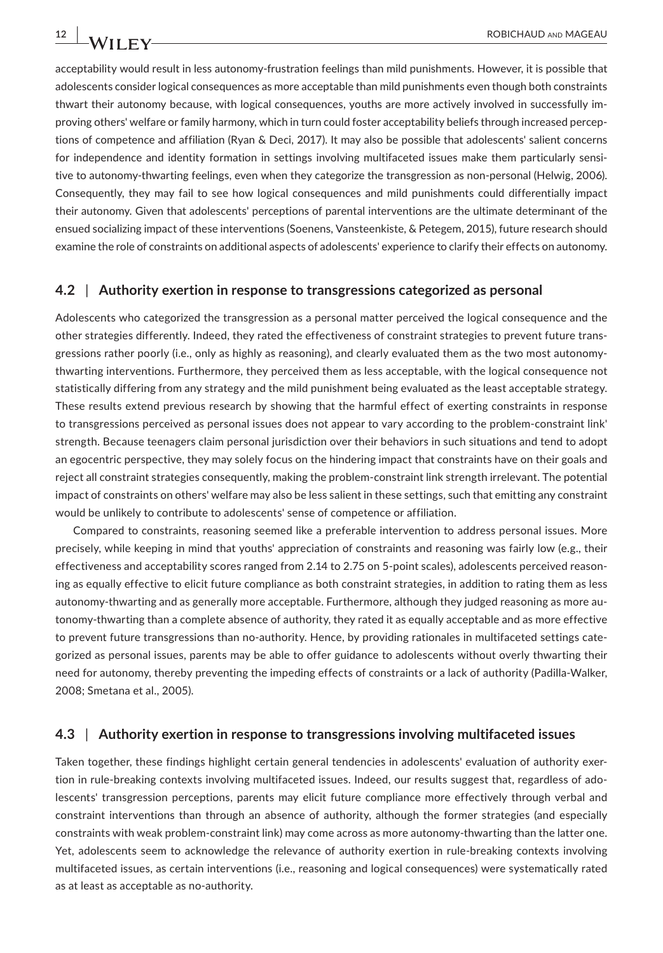acceptability would result in less autonomy‐frustration feelings than mild punishments. However, it is possible that adolescents consider logical consequences as more acceptable than mild punishments even though both constraints thwart their autonomy because, with logical consequences, youths are more actively involved in successfully improving others' welfare or family harmony, which in turn could foster acceptability beliefs through increased perceptions of competence and affiliation (Ryan & Deci, 2017). It may also be possible that adolescents' salient concerns for independence and identity formation in settings involving multifaceted issues make them particularly sensitive to autonomy-thwarting feelings, even when they categorize the transgression as non-personal (Helwig, 2006). Consequently, they may fail to see how logical consequences and mild punishments could differentially impact their autonomy. Given that adolescents' perceptions of parental interventions are the ultimate determinant of the ensued socializing impact of these interventions (Soenens, Vansteenkiste, & Petegem, 2015), future research should examine the role of constraints on additional aspects of adolescents' experience to clarify their effects on autonomy.

#### **4.2** | **Authority exertion in response to transgressions categorized as personal**

Adolescents who categorized the transgression as a personal matter perceived the logical consequence and the other strategies differently. Indeed, they rated the effectiveness of constraint strategies to prevent future trans‐ gressions rather poorly (i.e., only as highly as reasoning), and clearly evaluated them as the two most autonomythwarting interventions. Furthermore, they perceived them as less acceptable, with the logical consequence not statistically differing from any strategy and the mild punishment being evaluated as the least acceptable strategy. These results extend previous research by showing that the harmful effect of exerting constraints in response to transgressions perceived as personal issues does not appear to vary according to the problem‐constraint link' strength. Because teenagers claim personal jurisdiction over their behaviors in such situations and tend to adopt an egocentric perspective, they may solely focus on the hindering impact that constraints have on their goals and reject all constraint strategies consequently, making the problem‐constraint link strength irrelevant. The potential impact of constraints on others' welfare may also be less salient in these settings, such that emitting any constraint would be unlikely to contribute to adolescents' sense of competence or affiliation.

Compared to constraints, reasoning seemed like a preferable intervention to address personal issues. More precisely, while keeping in mind that youths' appreciation of constraints and reasoning was fairly low (e.g., their effectiveness and acceptability scores ranged from 2.14 to 2.75 on 5-point scales), adolescents perceived reasoning as equally effective to elicit future compliance as both constraint strategies, in addition to rating them as less autonomy-thwarting and as generally more acceptable. Furthermore, although they judged reasoning as more autonomy‐thwarting than a complete absence of authority, they rated it as equally acceptable and as more effective to prevent future transgressions than no-authority. Hence, by providing rationales in multifaceted settings categorized as personal issues, parents may be able to offer guidance to adolescents without overly thwarting their need for autonomy, thereby preventing the impeding effects of constraints or a lack of authority (Padilla‐Walker, 2008; Smetana et al., 2005).

#### **4.3** | **Authority exertion in response to transgressions involving multifaceted issues**

Taken together, these findings highlight certain general tendencies in adolescents' evaluation of authority exertion in rule‐breaking contexts involving multifaceted issues. Indeed, our results suggest that, regardless of ado‐ lescents' transgression perceptions, parents may elicit future compliance more effectively through verbal and constraint interventions than through an absence of authority, although the former strategies (and especially constraints with weak problem-constraint link) may come across as more autonomy-thwarting than the latter one. Yet, adolescents seem to acknowledge the relevance of authority exertion in rule‐breaking contexts involving multifaceted issues, as certain interventions (i.e., reasoning and logical consequences) were systematically rated as at least as acceptable as no‐authority.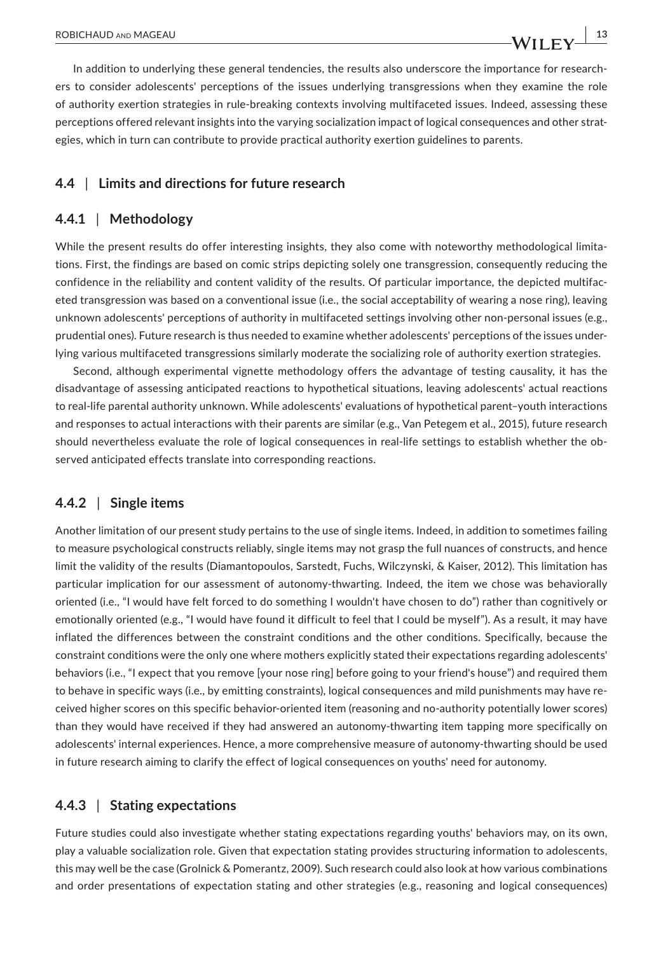In addition to underlying these general tendencies, the results also underscore the importance for research‐ ers to consider adolescents' perceptions of the issues underlying transgressions when they examine the role of authority exertion strategies in rule‐breaking contexts involving multifaceted issues. Indeed, assessing these perceptions offered relevant insights into the varying socialization impact of logical consequences and other strategies, which in turn can contribute to provide practical authority exertion guidelines to parents.

## **4.4** | **Limits and directions for future research**

#### **4.4.1** | **Methodology**

While the present results do offer interesting insights, they also come with noteworthy methodological limitations. First, the findings are based on comic strips depicting solely one transgression, consequently reducing the confidence in the reliability and content validity of the results. Of particular importance, the depicted multifac‐ eted transgression was based on a conventional issue (i.e., the social acceptability of wearing a nose ring), leaving unknown adolescents' perceptions of authority in multifaceted settings involving other non-personal issues (e.g., prudential ones). Future research is thus needed to examine whether adolescents' perceptions of the issues under‐ lying various multifaceted transgressions similarly moderate the socializing role of authority exertion strategies.

Second, although experimental vignette methodology offers the advantage of testing causality, it has the disadvantage of assessing anticipated reactions to hypothetical situations, leaving adolescents' actual reactions to real‐life parental authority unknown. While adolescents' evaluations of hypothetical parent–youth interactions and responses to actual interactions with their parents are similar (e.g., Van Petegem et al., 2015), future research should nevertheless evaluate the role of logical consequences in real-life settings to establish whether the observed anticipated effects translate into corresponding reactions.

## **4.4.2** | **Single items**

Another limitation of our present study pertains to the use of single items. Indeed, in addition to sometimes failing to measure psychological constructs reliably, single items may not grasp the full nuances of constructs, and hence limit the validity of the results (Diamantopoulos, Sarstedt, Fuchs, Wilczynski, & Kaiser, 2012). This limitation has particular implication for our assessment of autonomy-thwarting. Indeed, the item we chose was behaviorally oriented (i.e., "I would have felt forced to do something I wouldn't have chosen to do") rather than cognitively or emotionally oriented (e.g., "I would have found it difficult to feel that I could be myself"). As a result, it may have inflated the differences between the constraint conditions and the other conditions. Specifically, because the constraint conditions were the only one where mothers explicitly stated their expectations regarding adolescents' behaviors (i.e., "I expect that you remove [your nose ring] before going to your friend's house") and required them to behave in specific ways (i.e., by emitting constraints), logical consequences and mild punishments may have received higher scores on this specific behavior-oriented item (reasoning and no-authority potentially lower scores) than they would have received if they had answered an autonomy‐thwarting item tapping more specifically on adolescents' internal experiences. Hence, a more comprehensive measure of autonomy-thwarting should be used in future research aiming to clarify the effect of logical consequences on youths' need for autonomy.

#### **4.4.3** | **Stating expectations**

Future studies could also investigate whether stating expectations regarding youths' behaviors may, on its own, play a valuable socialization role. Given that expectation stating provides structuring information to adolescents, this may well be the case (Grolnick & Pomerantz, 2009). Such research could also look at how various combinations and order presentations of expectation stating and other strategies (e.g., reasoning and logical consequences)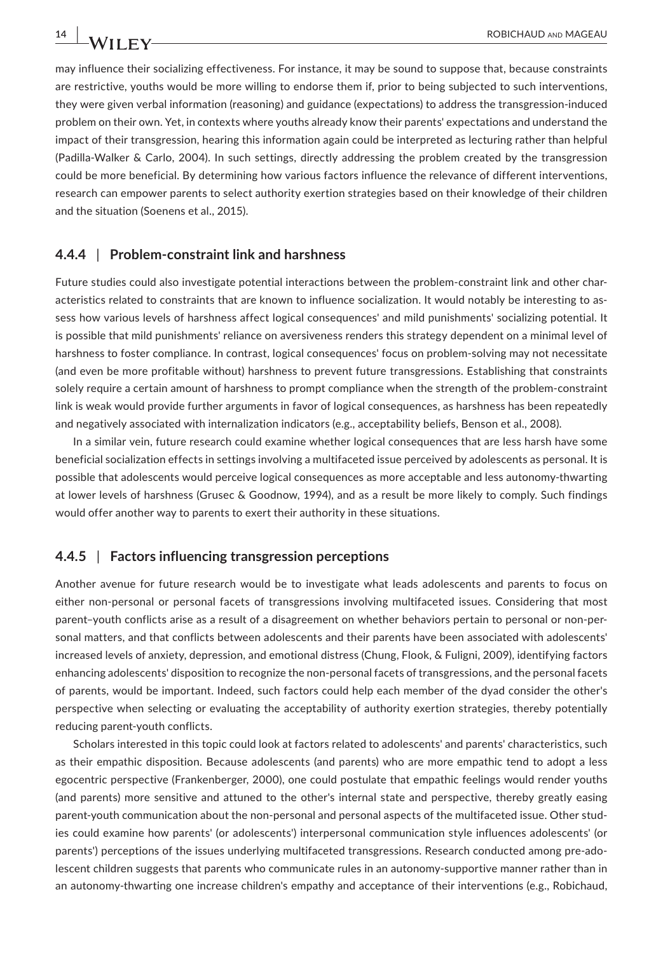may influence their socializing effectiveness. For instance, it may be sound to suppose that, because constraints are restrictive, youths would be more willing to endorse them if, prior to being subjected to such interventions, they were given verbal information (reasoning) and guidance (expectations) to address the transgression‐induced problem on their own. Yet, in contexts where youths already know their parents' expectations and understand the impact of their transgression, hearing this information again could be interpreted as lecturing rather than helpful (Padilla‐Walker & Carlo, 2004). In such settings, directly addressing the problem created by the transgression could be more beneficial. By determining how various factors influence the relevance of different interventions, research can empower parents to select authority exertion strategies based on their knowledge of their children and the situation (Soenens et al., 2015).

#### **4.4.4** | **Problem‐constraint link and harshness**

Future studies could also investigate potential interactions between the problem-constraint link and other characteristics related to constraints that are known to influence socialization. It would notably be interesting to as‐ sess how various levels of harshness affect logical consequences' and mild punishments' socializing potential. It is possible that mild punishments' reliance on aversiveness renders this strategy dependent on a minimal level of harshness to foster compliance. In contrast, logical consequences' focus on problem‐solving may not necessitate (and even be more profitable without) harshness to prevent future transgressions. Establishing that constraints solely require a certain amount of harshness to prompt compliance when the strength of the problem‐constraint link is weak would provide further arguments in favor of logical consequences, as harshness has been repeatedly and negatively associated with internalization indicators (e.g., acceptability beliefs, Benson et al., 2008).

In a similar vein, future research could examine whether logical consequences that are less harsh have some beneficial socialization effects in settings involving a multifaceted issue perceived by adolescents as personal. It is possible that adolescents would perceive logical consequences as more acceptable and less autonomy-thwarting at lower levels of harshness (Grusec & Goodnow, 1994), and as a result be more likely to comply. Such findings would offer another way to parents to exert their authority in these situations.

#### **4.4.5** | **Factors influencing transgression perceptions**

Another avenue for future research would be to investigate what leads adolescents and parents to focus on either non-personal or personal facets of transgressions involving multifaceted issues. Considering that most parent-youth conflicts arise as a result of a disagreement on whether behaviors pertain to personal or non-personal matters, and that conflicts between adolescents and their parents have been associated with adolescents' increased levels of anxiety, depression, and emotional distress (Chung, Flook, & Fuligni, 2009), identifying factors enhancing adolescents' disposition to recognize the non-personal facets of transgressions, and the personal facets of parents, would be important. Indeed, such factors could help each member of the dyad consider the other's perspective when selecting or evaluating the acceptability of authority exertion strategies, thereby potentially reducing parent‐youth conflicts.

Scholars interested in this topic could look at factors related to adolescents' and parents' characteristics, such as their empathic disposition. Because adolescents (and parents) who are more empathic tend to adopt a less egocentric perspective (Frankenberger, 2000), one could postulate that empathic feelings would render youths (and parents) more sensitive and attuned to the other's internal state and perspective, thereby greatly easing parent‐youth communication about the non‐personal and personal aspects of the multifaceted issue. Other stud‐ ies could examine how parents' (or adolescents') interpersonal communication style influences adolescents' (or parents') perceptions of the issues underlying multifaceted transgressions. Research conducted among pre‐ado‐ lescent children suggests that parents who communicate rules in an autonomy-supportive manner rather than in an autonomy‐thwarting one increase children's empathy and acceptance of their interventions (e.g., Robichaud,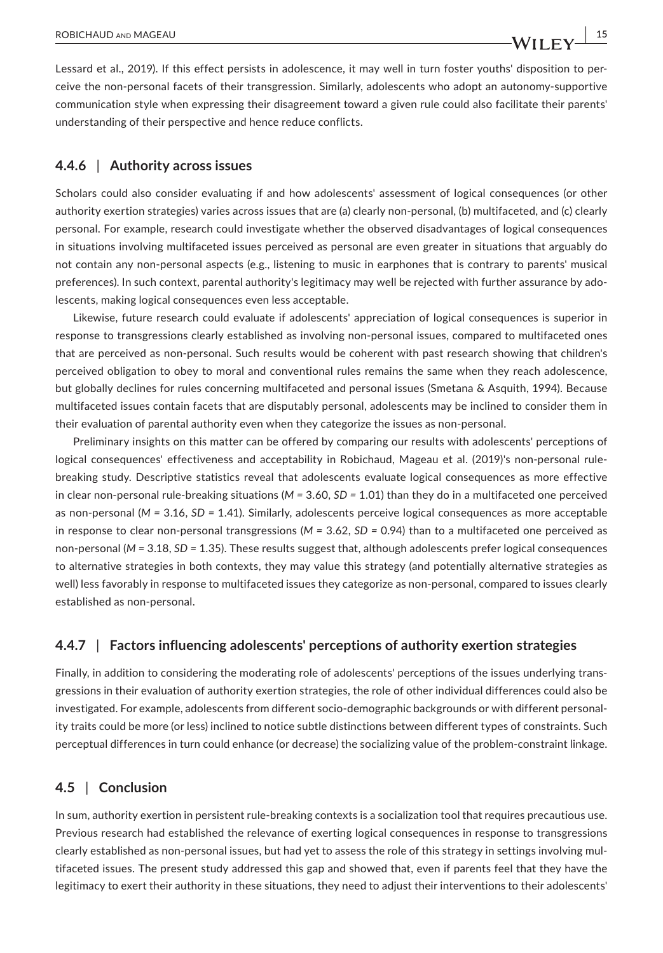Lessard et al., 2019). If this effect persists in adolescence, it may well in turn foster youths' disposition to per‐ ceive the non‐personal facets of their transgression. Similarly, adolescents who adopt an autonomy‐supportive communication style when expressing their disagreement toward a given rule could also facilitate their parents' understanding of their perspective and hence reduce conflicts.

#### **4.4.6** | **Authority across issues**

Scholars could also consider evaluating if and how adolescents' assessment of logical consequences (or other authority exertion strategies) varies across issues that are (a) clearly non‐personal, (b) multifaceted, and (c) clearly personal. For example, research could investigate whether the observed disadvantages of logical consequences in situations involving multifaceted issues perceived as personal are even greater in situations that arguably do not contain any non‐personal aspects (e.g., listening to music in earphones that is contrary to parents' musical preferences). In such context, parental authority's legitimacy may well be rejected with further assurance by ado‐ lescents, making logical consequences even less acceptable.

Likewise, future research could evaluate if adolescents' appreciation of logical consequences is superior in response to transgressions clearly established as involving non‐personal issues, compared to multifaceted ones that are perceived as non‐personal. Such results would be coherent with past research showing that children's perceived obligation to obey to moral and conventional rules remains the same when they reach adolescence, but globally declines for rules concerning multifaceted and personal issues (Smetana & Asquith, 1994). Because multifaceted issues contain facets that are disputably personal, adolescents may be inclined to consider them in their evaluation of parental authority even when they categorize the issues as non‐personal.

Preliminary insights on this matter can be offered by comparing our results with adolescents' perceptions of logical consequences' effectiveness and acceptability in Robichaud, Mageau et al. (2019)'s non‐personal rule‐ breaking study. Descriptive statistics reveal that adolescents evaluate logical consequences as more effective in clear non‐personal rule‐breaking situations (*M =* 3.60, *SD =* 1.01) than they do in a multifaceted one perceived as non‐personal (*M =* 3.16, *SD =* 1.41). Similarly, adolescents perceive logical consequences as more acceptable in response to clear non‐personal transgressions (*M =* 3.62, *SD =* 0.94) than to a multifaceted one perceived as non-personal ( $M = 3.18$ ,  $SD = 1.35$ ). These results suggest that, although adolescents prefer logical consequences to alternative strategies in both contexts, they may value this strategy (and potentially alternative strategies as well) less favorably in response to multifaceted issues they categorize as non-personal, compared to issues clearly established as non‐personal.

#### **4.4.7** | **Factors influencing adolescents' perceptions of authority exertion strategies**

Finally, in addition to considering the moderating role of adolescents' perceptions of the issues underlying trans‐ gressions in their evaluation of authority exertion strategies, the role of other individual differences could also be investigated. For example, adolescents from different socio-demographic backgrounds or with different personality traits could be more (or less) inclined to notice subtle distinctions between different types of constraints. Such perceptual differences in turn could enhance (or decrease) the socializing value of the problem‐constraint linkage.

#### **4.5** | **Conclusion**

In sum, authority exertion in persistent rule-breaking contexts is a socialization tool that requires precautious use. Previous research had established the relevance of exerting logical consequences in response to transgressions clearly established as non‐personal issues, but had yet to assess the role of this strategy in settings involving mul‐ tifaceted issues. The present study addressed this gap and showed that, even if parents feel that they have the legitimacy to exert their authority in these situations, they need to adjust their interventions to their adolescents'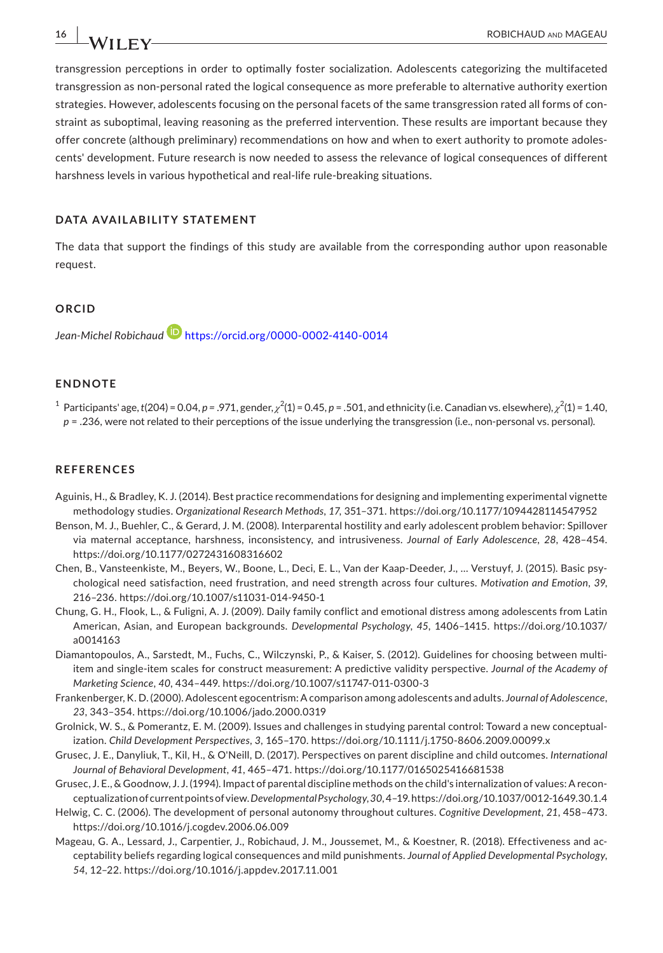transgression perceptions in order to optimally foster socialization. Adolescents categorizing the multifaceted transgression as non‐personal rated the logical consequence as more preferable to alternative authority exertion strategies. However, adolescents focusing on the personal facets of the same transgression rated all forms of constraint as suboptimal, leaving reasoning as the preferred intervention. These results are important because they offer concrete (although preliminary) recommendations on how and when to exert authority to promote adoles‐ cents' development. Future research is now needed to assess the relevance of logical consequences of different harshness levels in various hypothetical and real-life rule-breaking situations.

#### **DATA AVAILABILITY STATEMENT**

The data that support the findings of this study are available from the corresponding author upon reasonable request.

#### **ORCID**

*Jean‐Michel Robichaud* <https://orcid.org/0000-0002-4140-0014>

#### **ENDNOTE**

<sup>1</sup> Participants' age, *t*(204) = 0.04, *p* = .971, gender,  $\chi^2(1)$  = 0.45, *p* = .501, and ethnicity (i.e. Canadian vs. elsewhere),  $\chi^2(1)$  = 1.40, *p* = .236, were not related to their perceptions of the issue underlying the transgression (i.e., non-personal vs. personal).

#### **REFERENCES**

- Aguinis, H., & Bradley, K. J. (2014). Best practice recommendations for designing and implementing experimental vignette methodology studies. *Organizational Research Methods*, *17*, 351–371. <https://doi.org/10.1177/1094428114547952>
- Benson, M. J., Buehler, C., & Gerard, J. M. (2008). Interparental hostility and early adolescent problem behavior: Spillover via maternal acceptance, harshness, inconsistency, and intrusiveness. *Journal of Early Adolescence*, *28*, 428–454. <https://doi.org/10.1177/0272431608316602>
- Chen, B., Vansteenkiste, M., Beyers, W., Boone, L., Deci, E. L., Van der Kaap‐Deeder, J., … Verstuyf, J. (2015). Basic psy‐ chological need satisfaction, need frustration, and need strength across four cultures. *Motivation and Emotion*, *39*, 216–236.<https://doi.org/10.1007/s11031-014-9450-1>
- Chung, G. H., Flook, L., & Fuligni, A. J. (2009). Daily family conflict and emotional distress among adolescents from Latin American, Asian, and European backgrounds. *Developmental Psychology*, *45*, 1406–1415. [https://doi.org/10.1037/](https://doi.org/10.1037/a0014163) [a0014163](https://doi.org/10.1037/a0014163)
- Diamantopoulos, A., Sarstedt, M., Fuchs, C., Wilczynski, P., & Kaiser, S. (2012). Guidelines for choosing between multiitem and single‐item scales for construct measurement: A predictive validity perspective. *Journal of the Academy of Marketing Science*, *40*, 434–449. <https://doi.org/10.1007/s11747-011-0300-3>
- Frankenberger, K. D. (2000). Adolescent egocentrism: A comparison among adolescents and adults. *Journal of Adolescence*, *23*, 343–354. <https://doi.org/10.1006/jado.2000.0319>
- Grolnick, W. S., & Pomerantz, E. M. (2009). Issues and challenges in studying parental control: Toward a new conceptual‐ ization. *Child Development Perspectives*, *3*, 165–170. <https://doi.org/10.1111/j.1750-8606.2009.00099.x>
- Grusec, J. E., Danyliuk, T., Kil, H., & O'Neill, D. (2017). Perspectives on parent discipline and child outcomes. *International Journal of Behavioral Development*, *41*, 465–471. <https://doi.org/10.1177/0165025416681538>
- Grusec, J. E., & Goodnow, J. J. (1994). Impact of parental discipline methods on the child's internalization of values: A reconceptualization of current points of view. *Developmental Psychology*, *30*, 4–19.<https://doi.org/10.1037/0012-1649.30.1.4>
- Helwig, C. C. (2006). The development of personal autonomy throughout cultures. *Cognitive Development*, *21*, 458–473. <https://doi.org/10.1016/j.cogdev.2006.06.009>
- Mageau, G. A., Lessard, J., Carpentier, J., Robichaud, J. M., Joussemet, M., & Koestner, R. (2018). Effectiveness and ac‐ ceptability beliefs regarding logical consequences and mild punishments. *Journal of Applied Developmental Psychology*, *54*, 12–22. <https://doi.org/10.1016/j.appdev.2017.11.001>